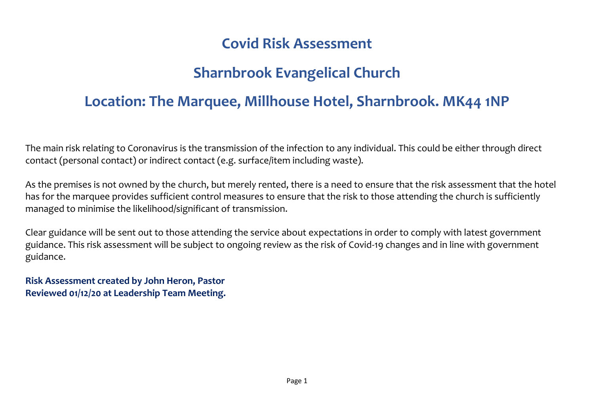## **Covid Risk Assessment**

## **Sharnbrook Evangelical Church**

## **Location: The Marquee, Millhouse Hotel, Sharnbrook. MK44 1NP**

The main risk relating to Coronavirus is the transmission of the infection to any individual. This could be either through direct contact (personal contact) or indirect contact (e.g. surface/item including waste).

As the premises is not owned by the church, but merely rented, there is a need to ensure that the risk assessment that the hotel has for the marquee provides sufficient control measures to ensure that the risk to those attending the church is sufficiently managed to minimise the likelihood/significant of transmission.

Clear guidance will be sent out to those attending the service about expectations in order to comply with latest government guidance. This risk assessment will be subject to ongoing review as the risk of Covid-19 changes and in line with government guidance.

**Risk Assessment created by John Heron, Pastor Reviewed 01/12/20 at Leadership Team Meeting.**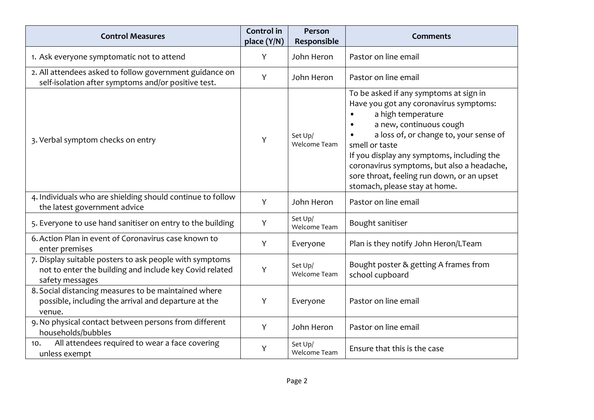| <b>Control Measures</b>                                                                                                               | <b>Control</b> in<br>place (Y/N) | Person<br>Responsible          | <b>Comments</b>                                                                                                                                                                                                                                                                                                                                                                       |
|---------------------------------------------------------------------------------------------------------------------------------------|----------------------------------|--------------------------------|---------------------------------------------------------------------------------------------------------------------------------------------------------------------------------------------------------------------------------------------------------------------------------------------------------------------------------------------------------------------------------------|
| 1. Ask everyone symptomatic not to attend                                                                                             | Y                                | John Heron                     | Pastor on line email                                                                                                                                                                                                                                                                                                                                                                  |
| 2. All attendees asked to follow government guidance on<br>self-isolation after symptoms and/or positive test.                        | Y                                | John Heron                     | Pastor on line email                                                                                                                                                                                                                                                                                                                                                                  |
| 3. Verbal symptom checks on entry                                                                                                     | Υ                                | Set Up/<br><b>Welcome Team</b> | To be asked if any symptoms at sign in<br>Have you got any coronavirus symptoms:<br>a high temperature<br>a new, continuous cough<br>$\bullet$<br>a loss of, or change to, your sense of<br>smell or taste<br>If you display any symptoms, including the<br>coronavirus symptoms, but also a headache,<br>sore throat, feeling run down, or an upset<br>stomach, please stay at home. |
| 4. Individuals who are shielding should continue to follow<br>the latest government advice                                            | Y                                | John Heron                     | Pastor on line email                                                                                                                                                                                                                                                                                                                                                                  |
| 5. Everyone to use hand sanitiser on entry to the building                                                                            | Y                                | Set Up/<br>Welcome Team        | Bought sanitiser                                                                                                                                                                                                                                                                                                                                                                      |
| 6. Action Plan in event of Coronavirus case known to<br>enter premises                                                                | Y                                | Everyone                       | Plan is they notify John Heron/LTeam                                                                                                                                                                                                                                                                                                                                                  |
| 7. Display suitable posters to ask people with symptoms<br>not to enter the building and include key Covid related<br>safety messages | Y                                | Set Up/<br>Welcome Team        | Bought poster & getting A frames from<br>school cupboard                                                                                                                                                                                                                                                                                                                              |
| 8. Social distancing measures to be maintained where<br>possible, including the arrival and departure at the<br>venue.                | Y                                | Everyone                       | Pastor on line email                                                                                                                                                                                                                                                                                                                                                                  |
| 9. No physical contact between persons from different<br>households/bubbles                                                           | Y                                | John Heron                     | Pastor on line email                                                                                                                                                                                                                                                                                                                                                                  |
| All attendees required to wear a face covering<br>10.<br>unless exempt                                                                | Υ                                | Set Up/<br>Welcome Team        | Ensure that this is the case                                                                                                                                                                                                                                                                                                                                                          |